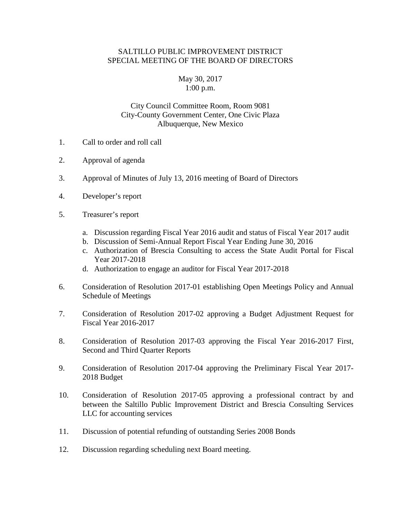## SALTILLO PUBLIC IMPROVEMENT DISTRICT SPECIAL MEETING OF THE BOARD OF DIRECTORS

## May 30, 2017 1:00 p.m.

## City Council Committee Room, Room 9081 City-County Government Center, One Civic Plaza Albuquerque, New Mexico

- 1. Call to order and roll call
- 2. Approval of agenda
- 3. Approval of Minutes of July 13, 2016 meeting of Board of Directors
- 4. Developer's report
- 5. Treasurer's report
	- a. Discussion regarding Fiscal Year 2016 audit and status of Fiscal Year 2017 audit
	- b. Discussion of Semi-Annual Report Fiscal Year Ending June 30, 2016
	- c. Authorization of Brescia Consulting to access the State Audit Portal for Fiscal Year 2017-2018
	- d. Authorization to engage an auditor for Fiscal Year 2017-2018
- 6. Consideration of Resolution 2017-01 establishing Open Meetings Policy and Annual Schedule of Meetings
- 7. Consideration of Resolution 2017-02 approving a Budget Adjustment Request for Fiscal Year 2016-2017
- 8. Consideration of Resolution 2017-03 approving the Fiscal Year 2016-2017 First, Second and Third Quarter Reports
- 9. Consideration of Resolution 2017-04 approving the Preliminary Fiscal Year 2017- 2018 Budget
- 10. Consideration of Resolution 2017-05 approving a professional contract by and between the Saltillo Public Improvement District and Brescia Consulting Services LLC for accounting services
- 11. Discussion of potential refunding of outstanding Series 2008 Bonds
- 12. Discussion regarding scheduling next Board meeting.